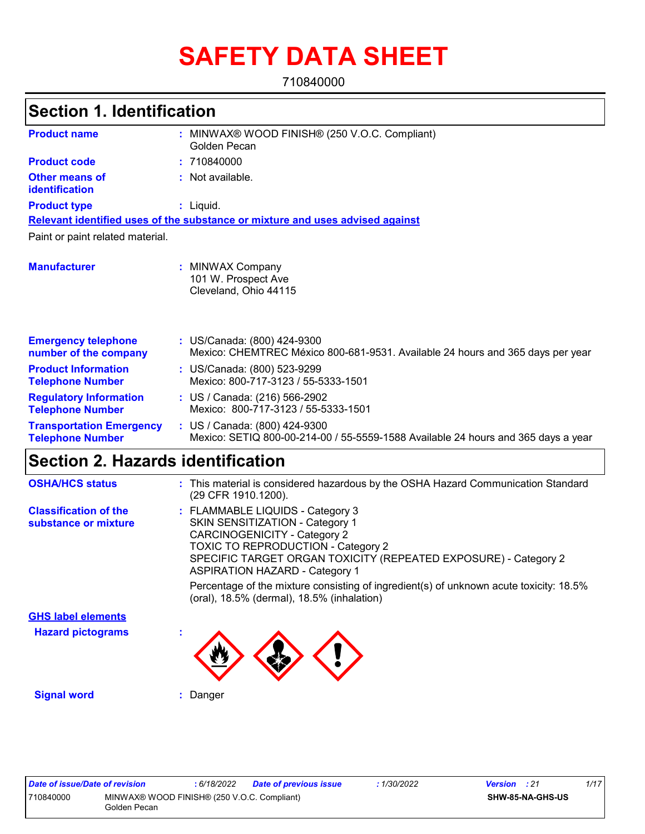# **SAFETY DATA SHEET**

710840000

### **Section 1. Identification**

| <b>Product name</b>                                        | MINWAX® WOOD FINISH® (250 V.O.C. Compliant)<br>Golden Pecan                                                        |
|------------------------------------------------------------|--------------------------------------------------------------------------------------------------------------------|
| <b>Product code</b>                                        | : 710840000                                                                                                        |
| <b>Other means of</b><br>identification                    | : Not available.                                                                                                   |
| <b>Product type</b>                                        | $:$ Liquid.                                                                                                        |
|                                                            | Relevant identified uses of the substance or mixture and uses advised against                                      |
| Paint or paint related material.                           |                                                                                                                    |
| <b>Manufacturer</b>                                        | : MINWAX Company<br>101 W. Prospect Ave<br>Cleveland, Ohio 44115                                                   |
| <b>Emergency telephone</b><br>number of the company        | : US/Canada: (800) 424-9300<br>Mexico: CHEMTREC México 800-681-9531. Available 24 hours and 365 days per year      |
| <b>Product Information</b><br><b>Telephone Number</b>      | : US/Canada: (800) 523-9299<br>Mexico: 800-717-3123 / 55-5333-1501                                                 |
| <b>Regulatory Information</b><br><b>Telephone Number</b>   | : US / Canada: (216) 566-2902<br>Mexico: 800-717-3123 / 55-5333-1501                                               |
| <b>Transportation Emergency</b><br><b>Telephone Number</b> | : US / Canada: (800) 424-9300<br>Mexico: SETIQ 800-00-214-00 / 55-5559-1588 Available 24 hours and 365 days a year |

# **Section 2. Hazards identification**

| <b>OSHA/HCS status</b>                               | : This material is considered hazardous by the OSHA Hazard Communication Standard<br>(29 CFR 1910.1200).                                                                                                                                                                   |
|------------------------------------------------------|----------------------------------------------------------------------------------------------------------------------------------------------------------------------------------------------------------------------------------------------------------------------------|
| <b>Classification of the</b><br>substance or mixture | : FLAMMABLE LIQUIDS - Category 3<br><b>SKIN SENSITIZATION - Category 1</b><br><b>CARCINOGENICITY - Category 2</b><br><b>TOXIC TO REPRODUCTION - Category 2</b><br>SPECIFIC TARGET ORGAN TOXICITY (REPEATED EXPOSURE) - Category 2<br><b>ASPIRATION HAZARD - Category 1</b> |
|                                                      | Percentage of the mixture consisting of ingredient(s) of unknown acute toxicity: 18.5%<br>(oral), 18.5% (dermal), 18.5% (inhalation)                                                                                                                                       |
| <b>GHS label elements</b>                            |                                                                                                                                                                                                                                                                            |
| <b>Hazard pictograms</b>                             |                                                                                                                                                                                                                                                                            |
| <b>Signal word</b>                                   | Danger                                                                                                                                                                                                                                                                     |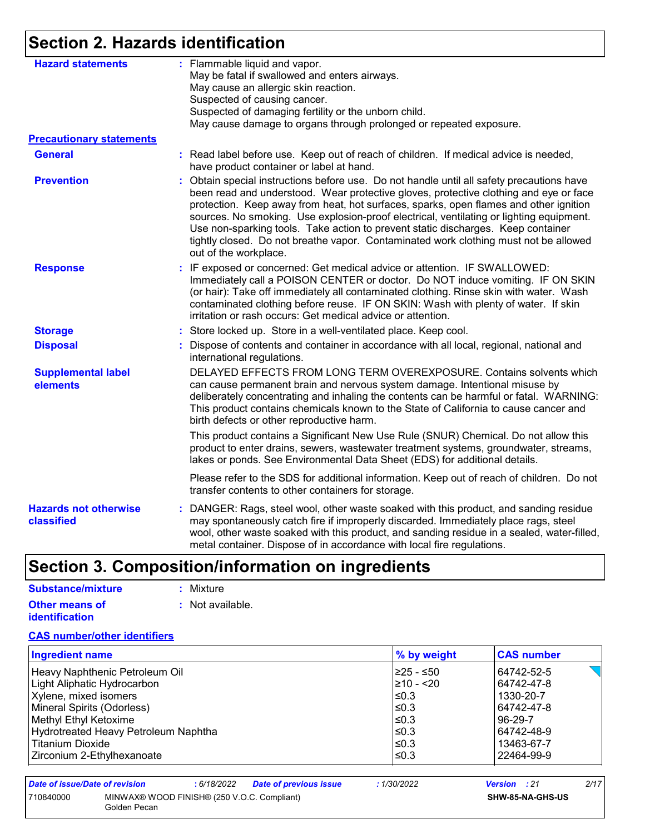## **Section 2. Hazards identification**

| <b>Hazard statements</b>                   | : Flammable liquid and vapor.<br>May be fatal if swallowed and enters airways.                                                                                                                                                                                                                                                                                                                                                                                                                                                                                                  |
|--------------------------------------------|---------------------------------------------------------------------------------------------------------------------------------------------------------------------------------------------------------------------------------------------------------------------------------------------------------------------------------------------------------------------------------------------------------------------------------------------------------------------------------------------------------------------------------------------------------------------------------|
|                                            | May cause an allergic skin reaction.                                                                                                                                                                                                                                                                                                                                                                                                                                                                                                                                            |
|                                            | Suspected of causing cancer.                                                                                                                                                                                                                                                                                                                                                                                                                                                                                                                                                    |
|                                            | Suspected of damaging fertility or the unborn child.                                                                                                                                                                                                                                                                                                                                                                                                                                                                                                                            |
|                                            | May cause damage to organs through prolonged or repeated exposure.                                                                                                                                                                                                                                                                                                                                                                                                                                                                                                              |
| <b>Precautionary statements</b>            |                                                                                                                                                                                                                                                                                                                                                                                                                                                                                                                                                                                 |
| <b>General</b>                             | : Read label before use. Keep out of reach of children. If medical advice is needed,<br>have product container or label at hand.                                                                                                                                                                                                                                                                                                                                                                                                                                                |
| <b>Prevention</b>                          | Obtain special instructions before use. Do not handle until all safety precautions have<br>÷.<br>been read and understood. Wear protective gloves, protective clothing and eye or face<br>protection. Keep away from heat, hot surfaces, sparks, open flames and other ignition<br>sources. No smoking. Use explosion-proof electrical, ventilating or lighting equipment.<br>Use non-sparking tools. Take action to prevent static discharges. Keep container<br>tightly closed. Do not breathe vapor. Contaminated work clothing must not be allowed<br>out of the workplace. |
| <b>Response</b>                            | : IF exposed or concerned: Get medical advice or attention. IF SWALLOWED:<br>Immediately call a POISON CENTER or doctor. Do NOT induce vomiting. IF ON SKIN<br>(or hair): Take off immediately all contaminated clothing. Rinse skin with water. Wash<br>contaminated clothing before reuse. IF ON SKIN: Wash with plenty of water. If skin<br>irritation or rash occurs: Get medical advice or attention.                                                                                                                                                                      |
| <b>Storage</b>                             | : Store locked up. Store in a well-ventilated place. Keep cool.                                                                                                                                                                                                                                                                                                                                                                                                                                                                                                                 |
| <b>Disposal</b>                            | : Dispose of contents and container in accordance with all local, regional, national and<br>international regulations.                                                                                                                                                                                                                                                                                                                                                                                                                                                          |
| <b>Supplemental label</b><br>elements      | DELAYED EFFECTS FROM LONG TERM OVEREXPOSURE. Contains solvents which<br>can cause permanent brain and nervous system damage. Intentional misuse by<br>deliberately concentrating and inhaling the contents can be harmful or fatal. WARNING:<br>This product contains chemicals known to the State of California to cause cancer and<br>birth defects or other reproductive harm.                                                                                                                                                                                               |
|                                            | This product contains a Significant New Use Rule (SNUR) Chemical. Do not allow this<br>product to enter drains, sewers, wastewater treatment systems, groundwater, streams,<br>lakes or ponds. See Environmental Data Sheet (EDS) for additional details.                                                                                                                                                                                                                                                                                                                       |
|                                            | Please refer to the SDS for additional information. Keep out of reach of children. Do not<br>transfer contents to other containers for storage.                                                                                                                                                                                                                                                                                                                                                                                                                                 |
| <b>Hazards not otherwise</b><br>classified | : DANGER: Rags, steel wool, other waste soaked with this product, and sanding residue<br>may spontaneously catch fire if improperly discarded. Immediately place rags, steel<br>wool, other waste soaked with this product, and sanding residue in a sealed, water-filled,<br>metal container. Dispose of in accordance with local fire regulations.                                                                                                                                                                                                                            |

# **Section 3. Composition/information on ingredients**

| Substance/mixture                              | : Mixture        |
|------------------------------------------------|------------------|
| <b>Other means of</b><br><b>identification</b> | : Not available. |

#### **CAS number/other identifiers**

| <b>Ingredient name</b>               | % by weight | <b>CAS number</b> |
|--------------------------------------|-------------|-------------------|
| Heavy Naphthenic Petroleum Oil       | 225 - ≤50   | 64742-52-5        |
| Light Aliphatic Hydrocarbon          | 210 - <20   | 64742-47-8        |
| Xylene, mixed isomers                | l≤0.3       | 1330-20-7         |
| Mineral Spirits (Odorless)           | $\leq$ 0.3  | 64742-47-8        |
| Methyl Ethyl Ketoxime                | $≤0.3$      | 96-29-7           |
| Hydrotreated Heavy Petroleum Naphtha | l≤0.3       | 64742-48-9        |
| <b>Titanium Dioxide</b>              | ≤0.3        | 13463-67-7        |
| Zirconium 2-Ethylhexanoate           | l≤0.3       | 22464-99-9        |

| Date of issue/Date of revision                                           |  | : 6/18/2022 | <b>Date of previous issue</b> | : 1/30/2022 | <b>Version</b> : 21 |  | 2/17 |
|--------------------------------------------------------------------------|--|-------------|-------------------------------|-------------|---------------------|--|------|
| 710840000<br>MINWAX® WOOD FINISH® (250 V.O.C. Compliant)<br>Golden Pecan |  |             |                               |             | SHW-85-NA-GHS-US    |  |      |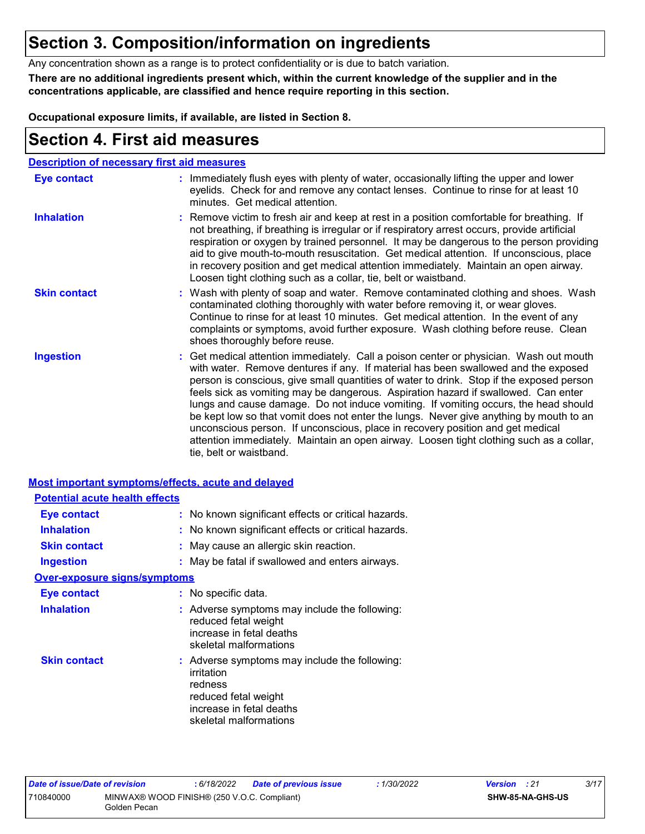### **Section 3. Composition/information on ingredients**

Any concentration shown as a range is to protect confidentiality or is due to batch variation.

**There are no additional ingredients present which, within the current knowledge of the supplier and in the concentrations applicable, are classified and hence require reporting in this section.**

**Occupational exposure limits, if available, are listed in Section 8.**

### **Section 4. First aid measures**

|                     | <b>Description of necessary first aid measures</b>                                                                                                                                                                                                                                                                                                                                                                                                                                                                                                                                                                                                                                                                                                      |
|---------------------|---------------------------------------------------------------------------------------------------------------------------------------------------------------------------------------------------------------------------------------------------------------------------------------------------------------------------------------------------------------------------------------------------------------------------------------------------------------------------------------------------------------------------------------------------------------------------------------------------------------------------------------------------------------------------------------------------------------------------------------------------------|
| <b>Eye contact</b>  | : Immediately flush eyes with plenty of water, occasionally lifting the upper and lower<br>eyelids. Check for and remove any contact lenses. Continue to rinse for at least 10<br>minutes. Get medical attention.                                                                                                                                                                                                                                                                                                                                                                                                                                                                                                                                       |
| <b>Inhalation</b>   | : Remove victim to fresh air and keep at rest in a position comfortable for breathing. If<br>not breathing, if breathing is irregular or if respiratory arrest occurs, provide artificial<br>respiration or oxygen by trained personnel. It may be dangerous to the person providing<br>aid to give mouth-to-mouth resuscitation. Get medical attention. If unconscious, place<br>in recovery position and get medical attention immediately. Maintain an open airway.<br>Loosen tight clothing such as a collar, tie, belt or waistband.                                                                                                                                                                                                               |
| <b>Skin contact</b> | : Wash with plenty of soap and water. Remove contaminated clothing and shoes. Wash<br>contaminated clothing thoroughly with water before removing it, or wear gloves.<br>Continue to rinse for at least 10 minutes. Get medical attention. In the event of any<br>complaints or symptoms, avoid further exposure. Wash clothing before reuse. Clean<br>shoes thoroughly before reuse.                                                                                                                                                                                                                                                                                                                                                                   |
| <b>Ingestion</b>    | : Get medical attention immediately. Call a poison center or physician. Wash out mouth<br>with water. Remove dentures if any. If material has been swallowed and the exposed<br>person is conscious, give small quantities of water to drink. Stop if the exposed person<br>feels sick as vomiting may be dangerous. Aspiration hazard if swallowed. Can enter<br>lungs and cause damage. Do not induce vomiting. If vomiting occurs, the head should<br>be kept low so that vomit does not enter the lungs. Never give anything by mouth to an<br>unconscious person. If unconscious, place in recovery position and get medical<br>attention immediately. Maintain an open airway. Loosen tight clothing such as a collar,<br>tie, belt or waistband. |

### **Most important symptoms/effects, acute and delayed Potential acute health effects**

| <b>Eye contact</b>                  | : No known significant effects or critical hazards.                                                                                                  |
|-------------------------------------|------------------------------------------------------------------------------------------------------------------------------------------------------|
| <b>Inhalation</b>                   | : No known significant effects or critical hazards.                                                                                                  |
| <b>Skin contact</b>                 | : May cause an allergic skin reaction.                                                                                                               |
| <b>Ingestion</b>                    | : May be fatal if swallowed and enters airways.                                                                                                      |
| <b>Over-exposure signs/symptoms</b> |                                                                                                                                                      |
| Eye contact                         | : No specific data.                                                                                                                                  |
| <b>Inhalation</b>                   | : Adverse symptoms may include the following:<br>reduced fetal weight<br>increase in fetal deaths<br>skeletal malformations                          |
| <b>Skin contact</b>                 | : Adverse symptoms may include the following:<br>irritation<br>redness<br>reduced fetal weight<br>increase in fetal deaths<br>skeletal malformations |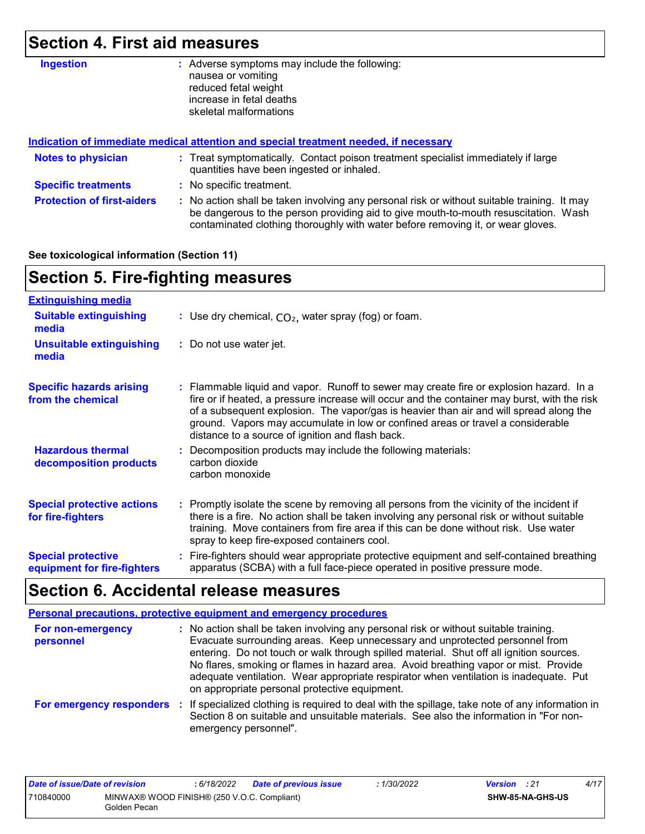# **Section 4. First aid measures**

| <b>Ingestion</b>                  | Adverse symptoms may include the following:<br>÷.<br>nausea or vomiting<br>reduced fetal weight<br>increase in fetal deaths                                                                                                                                           |
|-----------------------------------|-----------------------------------------------------------------------------------------------------------------------------------------------------------------------------------------------------------------------------------------------------------------------|
|                                   | skeletal malformations                                                                                                                                                                                                                                                |
|                                   | Indication of immediate medical attention and special treatment needed, if necessary                                                                                                                                                                                  |
| <b>Notes to physician</b>         | : Treat symptomatically. Contact poison treatment specialist immediately if large<br>quantities have been ingested or inhaled.                                                                                                                                        |
| <b>Specific treatments</b>        | : No specific treatment.                                                                                                                                                                                                                                              |
| <b>Protection of first-aiders</b> | : No action shall be taken involving any personal risk or without suitable training. It may<br>be dangerous to the person providing aid to give mouth-to-mouth resuscitation. Wash<br>contaminated clothing thoroughly with water before removing it, or wear gloves. |

#### **See toxicological information (Section 11)**

### **Section 5. Fire-fighting measures**

| <b>Extinguishing media</b>                               |                                                                                                                                                                                                                                                                                                                                                                                                                          |
|----------------------------------------------------------|--------------------------------------------------------------------------------------------------------------------------------------------------------------------------------------------------------------------------------------------------------------------------------------------------------------------------------------------------------------------------------------------------------------------------|
| <b>Suitable extinguishing</b><br>media                   | : Use dry chemical, $CO2$ , water spray (fog) or foam.                                                                                                                                                                                                                                                                                                                                                                   |
| <b>Unsuitable extinguishing</b><br>media                 | : Do not use water jet.                                                                                                                                                                                                                                                                                                                                                                                                  |
| <b>Specific hazards arising</b><br>from the chemical     | : Flammable liquid and vapor. Runoff to sewer may create fire or explosion hazard. In a<br>fire or if heated, a pressure increase will occur and the container may burst, with the risk<br>of a subsequent explosion. The vapor/gas is heavier than air and will spread along the<br>ground. Vapors may accumulate in low or confined areas or travel a considerable<br>distance to a source of ignition and flash back. |
| <b>Hazardous thermal</b><br>decomposition products       | : Decomposition products may include the following materials:<br>carbon dioxide<br>carbon monoxide                                                                                                                                                                                                                                                                                                                       |
| <b>Special protective actions</b><br>for fire-fighters   | : Promptly isolate the scene by removing all persons from the vicinity of the incident if<br>there is a fire. No action shall be taken involving any personal risk or without suitable<br>training. Move containers from fire area if this can be done without risk. Use water<br>spray to keep fire-exposed containers cool.                                                                                            |
| <b>Special protective</b><br>equipment for fire-fighters | : Fire-fighters should wear appropriate protective equipment and self-contained breathing<br>apparatus (SCBA) with a full face-piece operated in positive pressure mode.                                                                                                                                                                                                                                                 |

## **Section 6. Accidental release measures**

|                                | <b>Personal precautions, protective equipment and emergency procedures</b>                                                                                                                                                                                                                                                                                                                                                                                                                      |
|--------------------------------|-------------------------------------------------------------------------------------------------------------------------------------------------------------------------------------------------------------------------------------------------------------------------------------------------------------------------------------------------------------------------------------------------------------------------------------------------------------------------------------------------|
| For non-emergency<br>personnel | : No action shall be taken involving any personal risk or without suitable training.<br>Evacuate surrounding areas. Keep unnecessary and unprotected personnel from<br>entering. Do not touch or walk through spilled material. Shut off all ignition sources.<br>No flares, smoking or flames in hazard area. Avoid breathing vapor or mist. Provide<br>adequate ventilation. Wear appropriate respirator when ventilation is inadequate. Put<br>on appropriate personal protective equipment. |
|                                | For emergency responders : If specialized clothing is required to deal with the spillage, take note of any information in<br>Section 8 on suitable and unsuitable materials. See also the information in "For non-<br>emergency personnel".                                                                                                                                                                                                                                                     |

| Date of issue/Date of revision                                           |  | : 6/18/2022 | <b>Date of previous issue</b> | .1/30/2022              | <b>Version</b> : 21 | 4/17 |
|--------------------------------------------------------------------------|--|-------------|-------------------------------|-------------------------|---------------------|------|
| MINWAX® WOOD FINISH® (250 V.O.C. Compliant)<br>710840000<br>Golden Pecan |  |             |                               | <b>SHW-85-NA-GHS-US</b> |                     |      |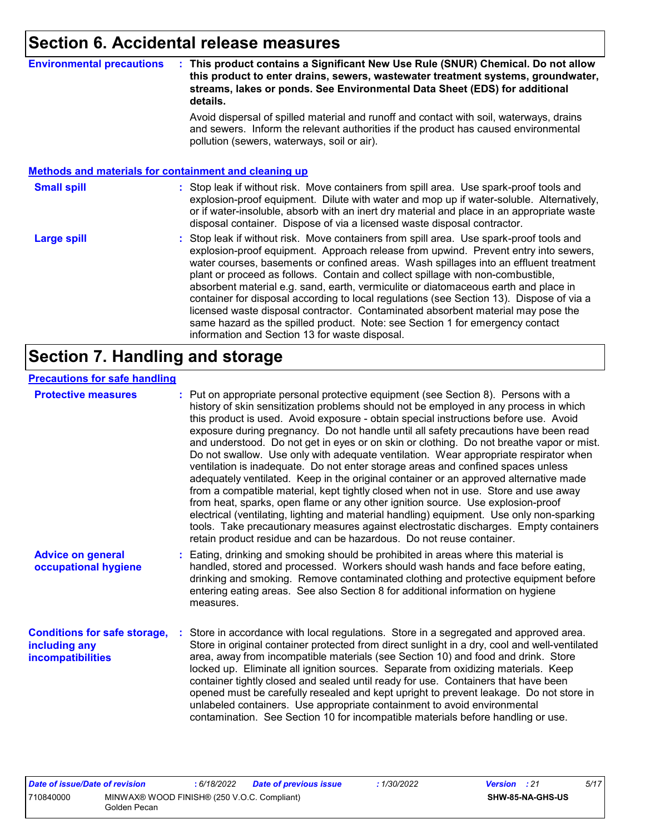### **Section 6. Accidental release measures**

#### **Environmental precautions : This product contains a Significant New Use Rule (SNUR) Chemical. Do not allow this product to enter drains, sewers, wastewater treatment systems, groundwater, streams, lakes or ponds. See Environmental Data Sheet (EDS) for additional details.**

Avoid dispersal of spilled material and runoff and contact with soil, waterways, drains and sewers. Inform the relevant authorities if the product has caused environmental pollution (sewers, waterways, soil or air).

#### **Methods and materials for containment and cleaning up**

#### : Stop leak if without risk. Move containers from spill area. Use spark-proof tools and explosion-proof equipment. Dilute with water and mop up if water-soluble. Alternatively, or if water-insoluble, absorb with an inert dry material and place in an appropriate waste disposal container. Dispose of via a licensed waste disposal contractor. **Small spill :**

Stop leak if without risk. Move containers from spill area. Use spark-proof tools and explosion-proof equipment. Approach release from upwind. Prevent entry into sewers, water courses, basements or confined areas. Wash spillages into an effluent treatment plant or proceed as follows. Contain and collect spillage with non-combustible, absorbent material e.g. sand, earth, vermiculite or diatomaceous earth and place in container for disposal according to local regulations (see Section 13). Dispose of via a licensed waste disposal contractor. Contaminated absorbent material may pose the same hazard as the spilled product. Note: see Section 1 for emergency contact information and Section 13 for waste disposal. **Large spill :**

### **Section 7. Handling and storage**

#### **Precautions for safe handling**

| <b>Protective measures</b>                                                | : Put on appropriate personal protective equipment (see Section 8). Persons with a<br>history of skin sensitization problems should not be employed in any process in which<br>this product is used. Avoid exposure - obtain special instructions before use. Avoid<br>exposure during pregnancy. Do not handle until all safety precautions have been read<br>and understood. Do not get in eyes or on skin or clothing. Do not breathe vapor or mist.<br>Do not swallow. Use only with adequate ventilation. Wear appropriate respirator when<br>ventilation is inadequate. Do not enter storage areas and confined spaces unless<br>adequately ventilated. Keep in the original container or an approved alternative made<br>from a compatible material, kept tightly closed when not in use. Store and use away<br>from heat, sparks, open flame or any other ignition source. Use explosion-proof<br>electrical (ventilating, lighting and material handling) equipment. Use only non-sparking<br>tools. Take precautionary measures against electrostatic discharges. Empty containers<br>retain product residue and can be hazardous. Do not reuse container. |
|---------------------------------------------------------------------------|----------------------------------------------------------------------------------------------------------------------------------------------------------------------------------------------------------------------------------------------------------------------------------------------------------------------------------------------------------------------------------------------------------------------------------------------------------------------------------------------------------------------------------------------------------------------------------------------------------------------------------------------------------------------------------------------------------------------------------------------------------------------------------------------------------------------------------------------------------------------------------------------------------------------------------------------------------------------------------------------------------------------------------------------------------------------------------------------------------------------------------------------------------------------|
| <b>Advice on general</b><br>occupational hygiene                          | : Eating, drinking and smoking should be prohibited in areas where this material is<br>handled, stored and processed. Workers should wash hands and face before eating,<br>drinking and smoking. Remove contaminated clothing and protective equipment before<br>entering eating areas. See also Section 8 for additional information on hygiene<br>measures.                                                                                                                                                                                                                                                                                                                                                                                                                                                                                                                                                                                                                                                                                                                                                                                                        |
| <b>Conditions for safe storage,</b><br>including any<br>incompatibilities | Store in accordance with local regulations. Store in a segregated and approved area.<br>Store in original container protected from direct sunlight in a dry, cool and well-ventilated<br>area, away from incompatible materials (see Section 10) and food and drink. Store<br>locked up. Eliminate all ignition sources. Separate from oxidizing materials. Keep<br>container tightly closed and sealed until ready for use. Containers that have been<br>opened must be carefully resealed and kept upright to prevent leakage. Do not store in<br>unlabeled containers. Use appropriate containment to avoid environmental<br>contamination. See Section 10 for incompatible materials before handling or use.                                                                                                                                                                                                                                                                                                                                                                                                                                                     |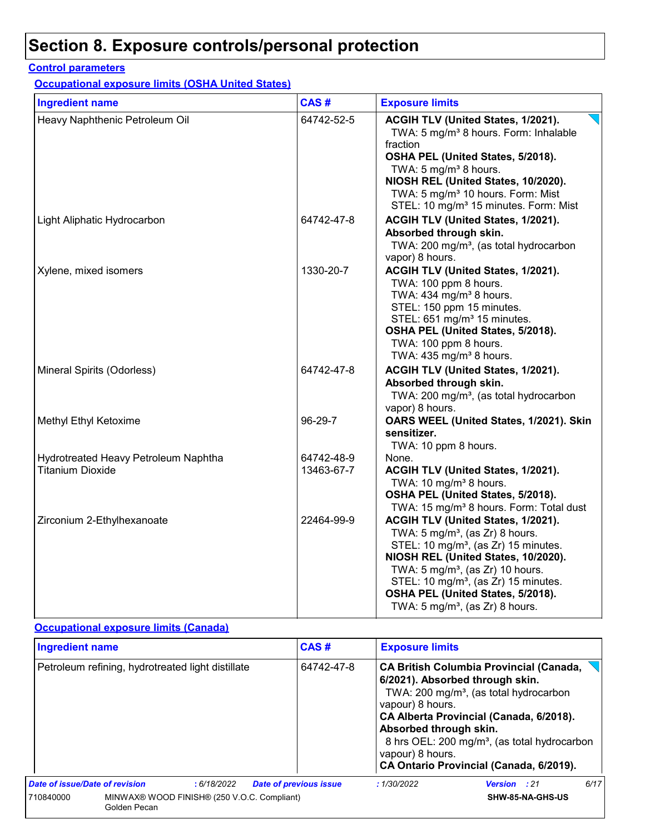#### **Control parameters**

**Occupational exposure limits (OSHA United States)**

| <b>Ingredient name</b>                                          | CAS#                     | <b>Exposure limits</b>                                                                                                                                                                                                                                                                                                                                             |
|-----------------------------------------------------------------|--------------------------|--------------------------------------------------------------------------------------------------------------------------------------------------------------------------------------------------------------------------------------------------------------------------------------------------------------------------------------------------------------------|
| Heavy Naphthenic Petroleum Oil                                  | 64742-52-5               | ACGIH TLV (United States, 1/2021).<br>TWA: 5 mg/m <sup>3</sup> 8 hours. Form: Inhalable<br>fraction<br>OSHA PEL (United States, 5/2018).<br>TWA: 5 mg/m <sup>3</sup> 8 hours.<br>NIOSH REL (United States, 10/2020).<br>TWA: 5 mg/m <sup>3</sup> 10 hours. Form: Mist<br>STEL: 10 mg/m <sup>3</sup> 15 minutes. Form: Mist                                         |
| Light Aliphatic Hydrocarbon                                     | 64742-47-8               | ACGIH TLV (United States, 1/2021).<br>Absorbed through skin.<br>TWA: 200 mg/m <sup>3</sup> , (as total hydrocarbon<br>vapor) 8 hours.                                                                                                                                                                                                                              |
| Xylene, mixed isomers                                           | 1330-20-7                | ACGIH TLV (United States, 1/2021).<br>TWA: 100 ppm 8 hours.<br>TWA: 434 mg/m <sup>3</sup> 8 hours.<br>STEL: 150 ppm 15 minutes.<br>STEL: 651 mg/m <sup>3</sup> 15 minutes.<br>OSHA PEL (United States, 5/2018).<br>TWA: 100 ppm 8 hours.<br>TWA: $435 \text{ mg/m}^3$ 8 hours.                                                                                     |
| Mineral Spirits (Odorless)                                      | 64742-47-8               | ACGIH TLV (United States, 1/2021).<br>Absorbed through skin.<br>TWA: 200 mg/m <sup>3</sup> , (as total hydrocarbon<br>vapor) 8 hours.                                                                                                                                                                                                                              |
| Methyl Ethyl Ketoxime                                           | 96-29-7                  | OARS WEEL (United States, 1/2021). Skin<br>sensitizer.<br>TWA: 10 ppm 8 hours.                                                                                                                                                                                                                                                                                     |
| Hydrotreated Heavy Petroleum Naphtha<br><b>Titanium Dioxide</b> | 64742-48-9<br>13463-67-7 | None.<br>ACGIH TLV (United States, 1/2021).<br>TWA: 10 mg/m <sup>3</sup> 8 hours.<br>OSHA PEL (United States, 5/2018).<br>TWA: 15 mg/m <sup>3</sup> 8 hours. Form: Total dust                                                                                                                                                                                      |
| Zirconium 2-Ethylhexanoate                                      | 22464-99-9               | ACGIH TLV (United States, 1/2021).<br>TWA: $5 \text{ mg/m}^3$ , (as Zr) 8 hours.<br>STEL: 10 mg/m <sup>3</sup> , (as Zr) 15 minutes.<br>NIOSH REL (United States, 10/2020).<br>TWA: 5 mg/m <sup>3</sup> , (as Zr) 10 hours.<br>STEL: 10 mg/m <sup>3</sup> , (as Zr) 15 minutes.<br>OSHA PEL (United States, 5/2018).<br>TWA: $5 \text{ mg/m}^3$ , (as Zr) 8 hours. |

### **Occupational exposure limits (Canada)**

| <b>Ingredient name</b>                            |                                                             |            |                               | CAS#                                                                                                                                                                                                                                      | <b>Exposure limits</b>                                                                                         |                     |                  |      |
|---------------------------------------------------|-------------------------------------------------------------|------------|-------------------------------|-------------------------------------------------------------------------------------------------------------------------------------------------------------------------------------------------------------------------------------------|----------------------------------------------------------------------------------------------------------------|---------------------|------------------|------|
| Petroleum refining, hydrotreated light distillate |                                                             |            | 64742-47-8                    | <b>CA British Columbia Provincial (Canada,</b><br>6/2021). Absorbed through skin.<br>vapour) 8 hours.<br>CA Alberta Provincial (Canada, 6/2018).<br>Absorbed through skin.<br>vapour) 8 hours.<br>CA Ontario Provincial (Canada, 6/2019). | TWA: 200 mg/m <sup>3</sup> , (as total hydrocarbon<br>8 hrs OEL: 200 mg/m <sup>3</sup> , (as total hydrocarbon |                     |                  |      |
| Date of issue/Date of revision                    |                                                             | :6/18/2022 | <b>Date of previous issue</b> |                                                                                                                                                                                                                                           | :1/30/2022                                                                                                     | <b>Version</b> : 21 |                  | 6/17 |
| 710840000                                         | MINWAX® WOOD FINISH® (250 V.O.C. Compliant)<br>Golden Pecan |            |                               |                                                                                                                                                                                                                                           |                                                                                                                |                     | SHW-85-NA-GHS-US |      |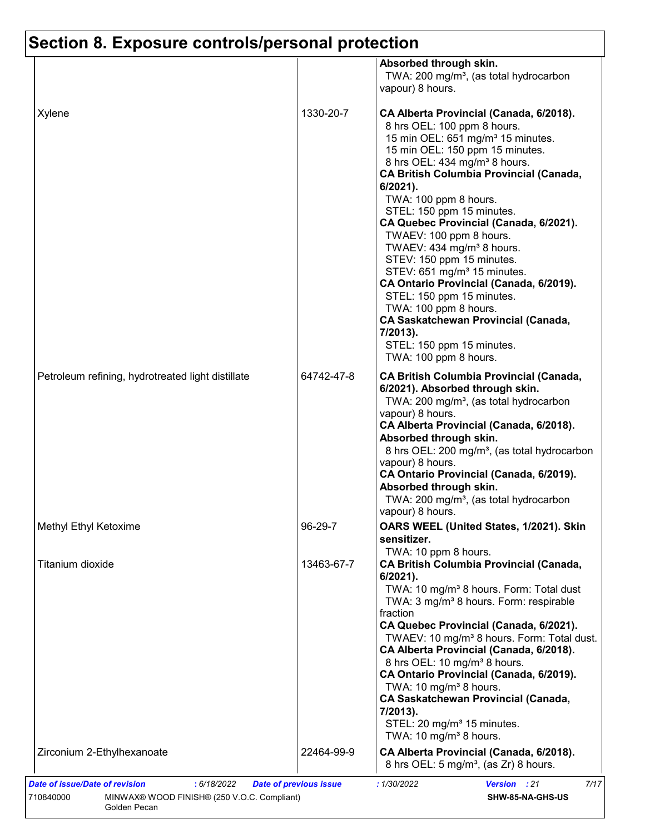|                                                   |            | Absorbed through skin.<br>TWA: 200 mg/m <sup>3</sup> , (as total hydrocarbon<br>vapour) 8 hours.                                                                                                                                                                                                                                                                                                                                                                                                                                                                                                                                                                                                                                      |
|---------------------------------------------------|------------|---------------------------------------------------------------------------------------------------------------------------------------------------------------------------------------------------------------------------------------------------------------------------------------------------------------------------------------------------------------------------------------------------------------------------------------------------------------------------------------------------------------------------------------------------------------------------------------------------------------------------------------------------------------------------------------------------------------------------------------|
| Xylene                                            | 1330-20-7  | CA Alberta Provincial (Canada, 6/2018).<br>8 hrs OEL: 100 ppm 8 hours.<br>15 min OEL: 651 mg/m <sup>3</sup> 15 minutes.<br>15 min OEL: 150 ppm 15 minutes.<br>8 hrs OEL: 434 mg/m <sup>3</sup> 8 hours.<br><b>CA British Columbia Provincial (Canada,</b><br>$6/2021$ ).<br>TWA: 100 ppm 8 hours.<br>STEL: 150 ppm 15 minutes.<br>CA Quebec Provincial (Canada, 6/2021).<br>TWAEV: 100 ppm 8 hours.<br>TWAEV: 434 mg/m <sup>3</sup> 8 hours.<br>STEV: 150 ppm 15 minutes.<br>STEV: 651 mg/m <sup>3</sup> 15 minutes.<br>CA Ontario Provincial (Canada, 6/2019).<br>STEL: 150 ppm 15 minutes.<br>TWA: 100 ppm 8 hours.<br><b>CA Saskatchewan Provincial (Canada,</b><br>7/2013).<br>STEL: 150 ppm 15 minutes.<br>TWA: 100 ppm 8 hours. |
| Petroleum refining, hydrotreated light distillate | 64742-47-8 | <b>CA British Columbia Provincial (Canada,</b><br>6/2021). Absorbed through skin.<br>TWA: 200 mg/m <sup>3</sup> , (as total hydrocarbon<br>vapour) 8 hours.<br>CA Alberta Provincial (Canada, 6/2018).<br>Absorbed through skin.<br>8 hrs OEL: 200 mg/m <sup>3</sup> , (as total hydrocarbon<br>vapour) 8 hours.<br>CA Ontario Provincial (Canada, 6/2019).<br>Absorbed through skin.<br>TWA: 200 mg/m <sup>3</sup> , (as total hydrocarbon<br>vapour) 8 hours.                                                                                                                                                                                                                                                                       |
| Methyl Ethyl Ketoxime                             | 96-29-7    | OARS WEEL (United States, 1/2021). Skin<br>sensitizer.                                                                                                                                                                                                                                                                                                                                                                                                                                                                                                                                                                                                                                                                                |
| Titanium dioxide                                  | 13463-67-7 | TWA: 10 ppm 8 hours.<br><b>CA British Columbia Provincial (Canada,</b><br>6/2021).<br>TWA: 10 mg/m <sup>3</sup> 8 hours. Form: Total dust<br>TWA: 3 mg/m <sup>3</sup> 8 hours. Form: respirable<br>fraction<br>CA Quebec Provincial (Canada, 6/2021).<br>TWAEV: 10 mg/m <sup>3</sup> 8 hours. Form: Total dust.<br>CA Alberta Provincial (Canada, 6/2018).<br>8 hrs OEL: 10 mg/m <sup>3</sup> 8 hours.<br>CA Ontario Provincial (Canada, 6/2019).<br>TWA: 10 mg/m <sup>3</sup> 8 hours.<br><b>CA Saskatchewan Provincial (Canada,</b><br>7/2013).<br>STEL: 20 mg/m <sup>3</sup> 15 minutes.<br>TWA: 10 mg/m <sup>3</sup> 8 hours.                                                                                                     |
| Zirconium 2-Ethylhexanoate                        | 22464-99-9 | CA Alberta Provincial (Canada, 6/2018).<br>8 hrs OEL: $5 \text{ mg/m}^3$ , (as Zr) 8 hours.                                                                                                                                                                                                                                                                                                                                                                                                                                                                                                                                                                                                                                           |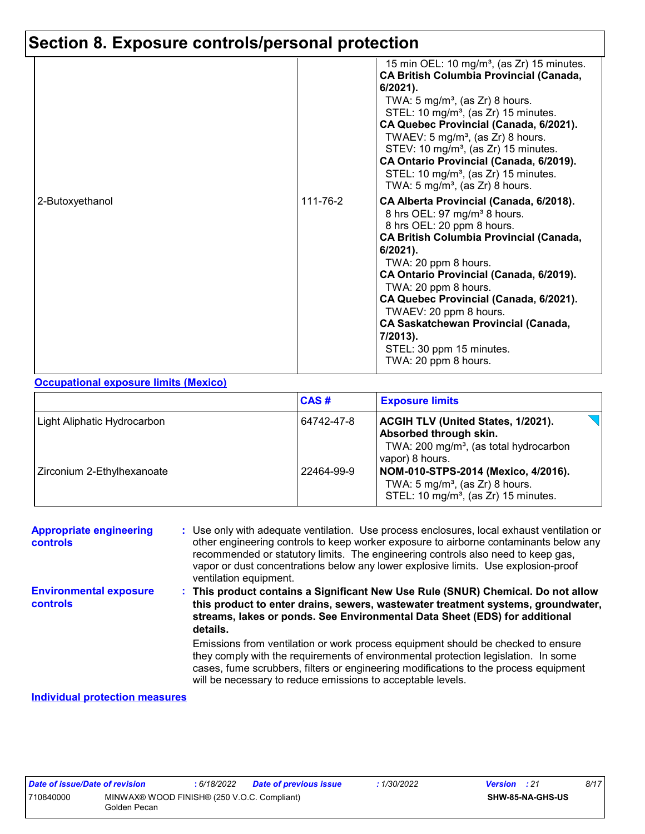|                 |          | 15 min OEL: 10 mg/m <sup>3</sup> , (as Zr) 15 minutes.<br><b>CA British Columbia Provincial (Canada,</b><br>$6/2021$ ).<br>TWA: $5 \text{ mg/m}^3$ , (as Zr) 8 hours.<br>STEL: 10 mg/m <sup>3</sup> , (as Zr) 15 minutes.<br>CA Quebec Provincial (Canada, 6/2021).<br>TWAEV: $5 \text{ mg/m}^3$ , (as Zr) 8 hours.<br>STEV: 10 mg/m <sup>3</sup> , (as Zr) 15 minutes.<br>CA Ontario Provincial (Canada, 6/2019).<br>STEL: 10 mg/m <sup>3</sup> , (as Zr) 15 minutes.<br>TWA: 5 mg/m <sup>3</sup> , (as Zr) 8 hours. |
|-----------------|----------|-----------------------------------------------------------------------------------------------------------------------------------------------------------------------------------------------------------------------------------------------------------------------------------------------------------------------------------------------------------------------------------------------------------------------------------------------------------------------------------------------------------------------|
| 2-Butoxyethanol | 111-76-2 | CA Alberta Provincial (Canada, 6/2018).<br>8 hrs OEL: 97 mg/m <sup>3</sup> 8 hours.<br>8 hrs OEL: 20 ppm 8 hours.<br><b>CA British Columbia Provincial (Canada,</b><br>$6/2021$ ).<br>TWA: 20 ppm 8 hours.<br>CA Ontario Provincial (Canada, 6/2019).<br>TWA: 20 ppm 8 hours.<br>CA Quebec Provincial (Canada, 6/2021).<br>TWAEV: 20 ppm 8 hours.<br><b>CA Saskatchewan Provincial (Canada,</b><br>7/2013).<br>STEL: 30 ppm 15 minutes.<br>TWA: 20 ppm 8 hours.                                                       |

#### **Occupational exposure limits (Mexico)**

|                             | CAS#       | <b>Exposure limits</b>                                                                                                                       |
|-----------------------------|------------|----------------------------------------------------------------------------------------------------------------------------------------------|
| Light Aliphatic Hydrocarbon | 64742-47-8 | <b>ACGIH TLV (United States, 1/2021).</b><br>Absorbed through skin.<br>TWA: 200 mg/m <sup>3</sup> , (as total hydrocarbon<br>vapor) 8 hours. |
| Zirconium 2-Ethylhexanoate  | 22464-99-9 | NOM-010-STPS-2014 (Mexico, 4/2016).<br>TWA: $5 \text{ mg/m}^3$ , (as Zr) 8 hours.<br>STEL: 10 mg/m <sup>3</sup> , (as Zr) 15 minutes.        |

| <b>Appropriate engineering</b><br><b>controls</b>                 | : Use only with adequate ventilation. Use process enclosures, local exhaust ventilation or<br>other engineering controls to keep worker exposure to airborne contaminants below any<br>recommended or statutory limits. The engineering controls also need to keep gas,<br>vapor or dust concentrations below any lower explosive limits. Use explosion-proof<br>ventilation equipment. |
|-------------------------------------------------------------------|-----------------------------------------------------------------------------------------------------------------------------------------------------------------------------------------------------------------------------------------------------------------------------------------------------------------------------------------------------------------------------------------|
| <b>Environmental exposure</b><br><b>controls</b>                  | This product contains a Significant New Use Rule (SNUR) Chemical. Do not allow<br>this product to enter drains, sewers, wastewater treatment systems, groundwater,<br>streams, lakes or ponds. See Environmental Data Sheet (EDS) for additional<br>details.                                                                                                                            |
|                                                                   | Emissions from ventilation or work process equipment should be checked to ensure<br>they comply with the requirements of environmental protection legislation. In some<br>cases, fume scrubbers, filters or engineering modifications to the process equipment<br>will be necessary to reduce emissions to acceptable levels.                                                           |
| the state of all a self-contracted and the contracted and a self- |                                                                                                                                                                                                                                                                                                                                                                                         |

#### **Individual protection measures**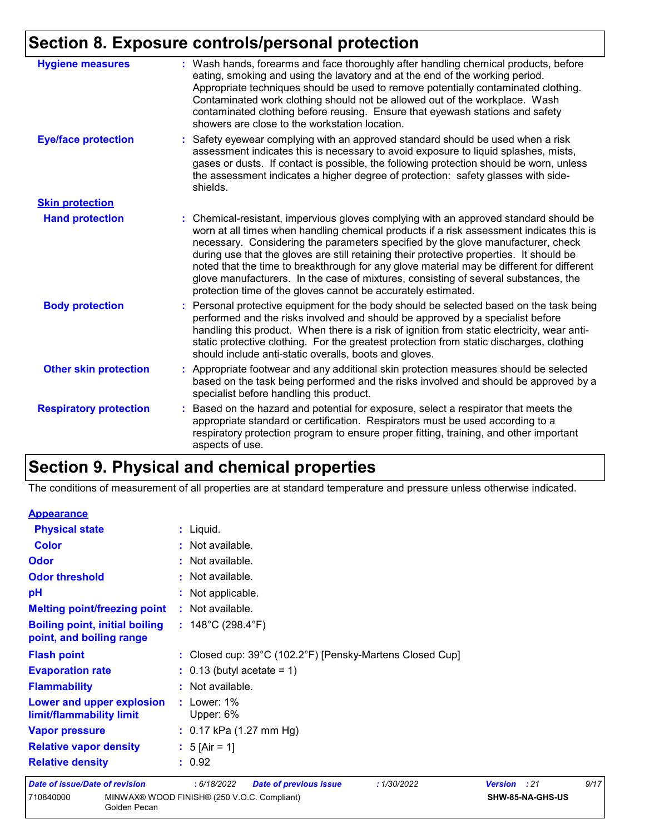| <b>Hygiene measures</b>       | : Wash hands, forearms and face thoroughly after handling chemical products, before<br>eating, smoking and using the lavatory and at the end of the working period.<br>Appropriate techniques should be used to remove potentially contaminated clothing.<br>Contaminated work clothing should not be allowed out of the workplace. Wash<br>contaminated clothing before reusing. Ensure that eyewash stations and safety<br>showers are close to the workstation location.                                                                                                                                            |
|-------------------------------|------------------------------------------------------------------------------------------------------------------------------------------------------------------------------------------------------------------------------------------------------------------------------------------------------------------------------------------------------------------------------------------------------------------------------------------------------------------------------------------------------------------------------------------------------------------------------------------------------------------------|
| <b>Eye/face protection</b>    | : Safety eyewear complying with an approved standard should be used when a risk<br>assessment indicates this is necessary to avoid exposure to liquid splashes, mists,<br>gases or dusts. If contact is possible, the following protection should be worn, unless<br>the assessment indicates a higher degree of protection: safety glasses with side-<br>shields.                                                                                                                                                                                                                                                     |
| <b>Skin protection</b>        |                                                                                                                                                                                                                                                                                                                                                                                                                                                                                                                                                                                                                        |
| <b>Hand protection</b>        | : Chemical-resistant, impervious gloves complying with an approved standard should be<br>worn at all times when handling chemical products if a risk assessment indicates this is<br>necessary. Considering the parameters specified by the glove manufacturer, check<br>during use that the gloves are still retaining their protective properties. It should be<br>noted that the time to breakthrough for any glove material may be different for different<br>glove manufacturers. In the case of mixtures, consisting of several substances, the<br>protection time of the gloves cannot be accurately estimated. |
| <b>Body protection</b>        | : Personal protective equipment for the body should be selected based on the task being<br>performed and the risks involved and should be approved by a specialist before<br>handling this product. When there is a risk of ignition from static electricity, wear anti-<br>static protective clothing. For the greatest protection from static discharges, clothing<br>should include anti-static overalls, boots and gloves.                                                                                                                                                                                         |
| <b>Other skin protection</b>  | : Appropriate footwear and any additional skin protection measures should be selected<br>based on the task being performed and the risks involved and should be approved by a<br>specialist before handling this product.                                                                                                                                                                                                                                                                                                                                                                                              |
| <b>Respiratory protection</b> | : Based on the hazard and potential for exposure, select a respirator that meets the<br>appropriate standard or certification. Respirators must be used according to a<br>respiratory protection program to ensure proper fitting, training, and other important<br>aspects of use.                                                                                                                                                                                                                                                                                                                                    |

# **Section 9. Physical and chemical properties**

The conditions of measurement of all properties are at standard temperature and pressure unless otherwise indicated.

| <b>Appearance</b>                                                 |                                                           |              |                  |      |
|-------------------------------------------------------------------|-----------------------------------------------------------|--------------|------------------|------|
| <b>Physical state</b>                                             | : Liquid.                                                 |              |                  |      |
| <b>Color</b>                                                      | : Not available.                                          |              |                  |      |
| Odor                                                              | : Not available.                                          |              |                  |      |
| <b>Odor threshold</b>                                             | : Not available.                                          |              |                  |      |
| pH                                                                | : Not applicable.                                         |              |                  |      |
| <b>Melting point/freezing point</b>                               | : Not available.                                          |              |                  |      |
| <b>Boiling point, initial boiling</b><br>point, and boiling range | : $148^{\circ}$ C (298.4 $^{\circ}$ F)                    |              |                  |      |
| <b>Flash point</b>                                                | : Closed cup: 39°C (102.2°F) [Pensky-Martens Closed Cup]  |              |                  |      |
| <b>Evaporation rate</b>                                           | $: 0.13$ (butyl acetate = 1)                              |              |                  |      |
| <b>Flammability</b>                                               | : Not available.                                          |              |                  |      |
| Lower and upper explosion<br>limit/flammability limit             | $:$ Lower: 1%<br>Upper: 6%                                |              |                  |      |
| <b>Vapor pressure</b>                                             | : $0.17$ kPa (1.27 mm Hg)                                 |              |                  |      |
| <b>Relative vapor density</b>                                     | : $5 \text{ [Air = 1]}$                                   |              |                  |      |
| <b>Relative density</b>                                           | : 0.92                                                    |              |                  |      |
| <b>Date of issue/Date of revision</b>                             | :6/18/2022<br><b>Date of previous issue</b><br>:1/30/2022 | Version : 21 |                  | 9/17 |
| 710840000<br>Golden Pecan                                         | MINWAX® WOOD FINISH® (250 V.O.C. Compliant)               |              | SHW-85-NA-GHS-US |      |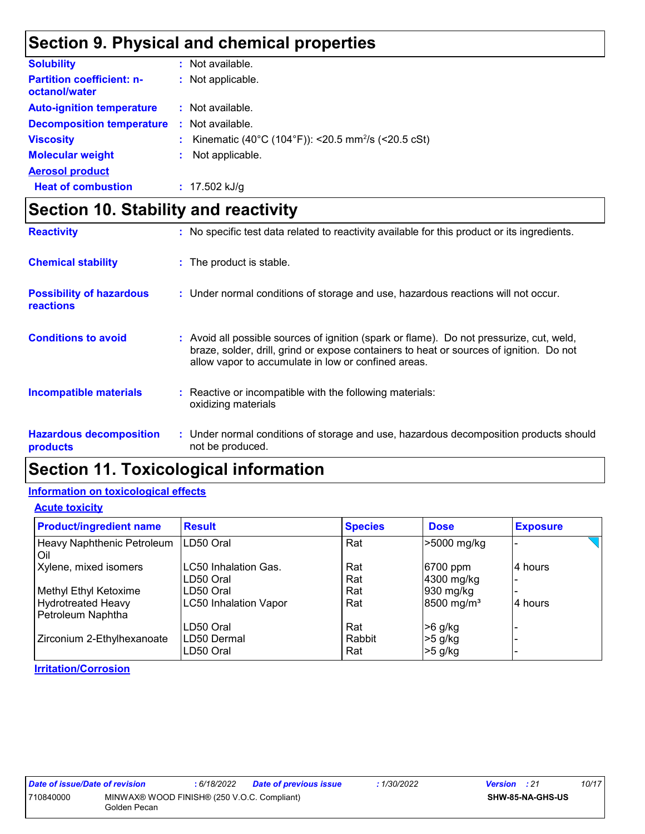### **Section 9. Physical and chemical properties**

| <b>Solubility</b>                                 |    | : Not available.                                               |
|---------------------------------------------------|----|----------------------------------------------------------------|
| <b>Partition coefficient: n-</b><br>octanol/water |    | : Not applicable.                                              |
| <b>Auto-ignition temperature</b>                  |    | : Not available.                                               |
| <b>Decomposition temperature</b>                  | ÷. | Not available.                                                 |
| <b>Viscosity</b>                                  |    | Kinematic (40°C (104°F)): <20.5 mm <sup>2</sup> /s (<20.5 cSt) |
| <b>Molecular weight</b>                           |    | Not applicable.                                                |
| <b>Aerosol product</b>                            |    |                                                                |
| <b>Heat of combustion</b>                         |    | $: 17.502$ kJ/g                                                |

### **Section 10. Stability and reactivity**

| <b>Reactivity</b>                                   | : No specific test data related to reactivity available for this product or its ingredients.                                                                                                                                             |
|-----------------------------------------------------|------------------------------------------------------------------------------------------------------------------------------------------------------------------------------------------------------------------------------------------|
| <b>Chemical stability</b>                           | : The product is stable.                                                                                                                                                                                                                 |
| <b>Possibility of hazardous</b><br><b>reactions</b> | : Under normal conditions of storage and use, hazardous reactions will not occur.                                                                                                                                                        |
| <b>Conditions to avoid</b>                          | Avoid all possible sources of ignition (spark or flame). Do not pressurize, cut, weld,<br>braze, solder, drill, grind or expose containers to heat or sources of ignition. Do not<br>allow vapor to accumulate in low or confined areas. |
| <b>Incompatible materials</b>                       | : Reactive or incompatible with the following materials:<br>oxidizing materials                                                                                                                                                          |
| <b>Hazardous decomposition</b><br>products          | : Under normal conditions of storage and use, hazardous decomposition products should<br>not be produced.                                                                                                                                |

### **Section 11. Toxicological information**

#### **Information on toxicological effects**

**Acute toxicity**

| <b>Product/ingredient name</b>                 | <b>Result</b>                | <b>Species</b> | <b>Dose</b>            | <b>Exposure</b> |
|------------------------------------------------|------------------------------|----------------|------------------------|-----------------|
| Heavy Naphthenic Petroleum<br>Oil              | LD50 Oral                    | Rat            | >5000 mg/kg            |                 |
| Xylene, mixed isomers                          | LC50 Inhalation Gas.         | Rat            | 6700 ppm               | 4 hours         |
|                                                | LD50 Oral                    | Rat            | 4300 mg/kg             |                 |
| Methyl Ethyl Ketoxime                          | LD50 Oral                    | Rat            | 930 mg/kg              |                 |
| <b>Hydrotreated Heavy</b><br>Petroleum Naphtha | <b>LC50 Inhalation Vapor</b> | Rat            | 8500 mg/m <sup>3</sup> | 4 hours         |
|                                                | LD50 Oral                    | Rat            | >6 g/kg                |                 |
| Zirconium 2-Ethylhexanoate                     | LD50 Dermal<br>LD50 Oral     | Rabbit<br>Rat  | >5 g/kg<br>$>5$ g/kg   |                 |

#### **Irritation/Corrosion**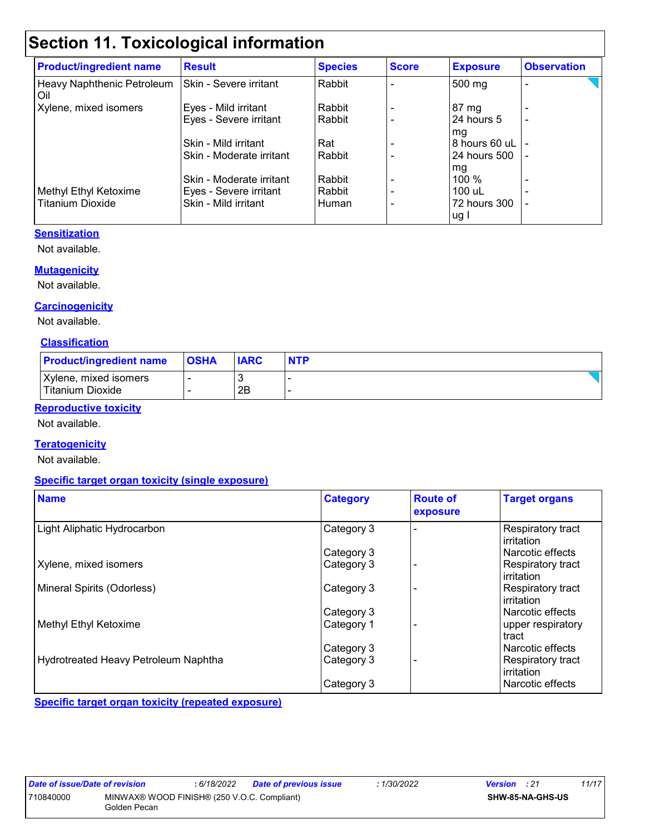## **Section 11. Toxicological information**

| <b>Product/ingredient name</b>    | <b>Result</b>            | <b>Species</b> | <b>Score</b> | <b>Exposure</b>      | <b>Observation</b>       |
|-----------------------------------|--------------------------|----------------|--------------|----------------------|--------------------------|
| Heavy Naphthenic Petroleum<br>Oil | Skin - Severe irritant   | Rabbit         |              | 500 mg               | -                        |
| Xylene, mixed isomers             | Eyes - Mild irritant     | Rabbit         |              | 87 mg                |                          |
|                                   | Eyes - Severe irritant   | Rabbit         |              | 24 hours 5<br>mg     | -                        |
|                                   | Skin - Mild irritant     | Rat            |              | 8 hours 60 uL        |                          |
|                                   | Skin - Moderate irritant | Rabbit         |              | 24 hours 500         | $\overline{\phantom{0}}$ |
|                                   |                          |                |              | mg                   |                          |
|                                   | Skin - Moderate irritant | Rabbit         |              | $100\%$              |                          |
| Methyl Ethyl Ketoxime             | Eyes - Severe irritant   | Rabbit         |              | 100 uL               |                          |
| <b>Titanium Dioxide</b>           | Skin - Mild irritant     | Human          |              | 72 hours 300<br>ug l |                          |

#### **Sensitization**

Not available.

#### **Mutagenicity**

Not available.

#### **Carcinogenicity**

Not available.

#### **Classification**

| <b>Product/ingredient name</b>            | <b>OSHA</b> | <b>IARC</b> | <b>NTP</b> |
|-------------------------------------------|-------------|-------------|------------|
| Xylene, mixed isomers<br>Titanium Dioxide |             | 2B          |            |

#### **Reproductive toxicity**

Not available.

#### **Teratogenicity**

Not available.

#### **Specific target organ toxicity (single exposure)**

| <b>Name</b>                          | <b>Category</b> | <b>Route of</b><br>exposure | <b>Target organs</b>            |
|--------------------------------------|-----------------|-----------------------------|---------------------------------|
| Light Aliphatic Hydrocarbon          | Category 3      |                             | Respiratory tract<br>irritation |
|                                      | Category 3      |                             | Narcotic effects                |
| Xylene, mixed isomers                | Category 3      |                             | Respiratory tract<br>irritation |
| Mineral Spirits (Odorless)           | Category 3      |                             | Respiratory tract<br>irritation |
|                                      | Category 3      |                             | Narcotic effects                |
| <b>Methyl Ethyl Ketoxime</b>         | Category 1      |                             | upper respiratory<br>tract      |
|                                      | Category 3      |                             | Narcotic effects                |
| Hydrotreated Heavy Petroleum Naphtha | Category 3      |                             | Respiratory tract<br>irritation |
|                                      | Category 3      |                             | l Narcotic effects              |

**Specific target organ toxicity (repeated exposure)**

*Date of issue/Date of revision* **:** *6/18/2022 Date of previous issue : 1/30/2022 Version : 21 11/17* 710840000 MINWAX® WOOD FINISH® (250 V.O.C. Compliant) Golden Pecan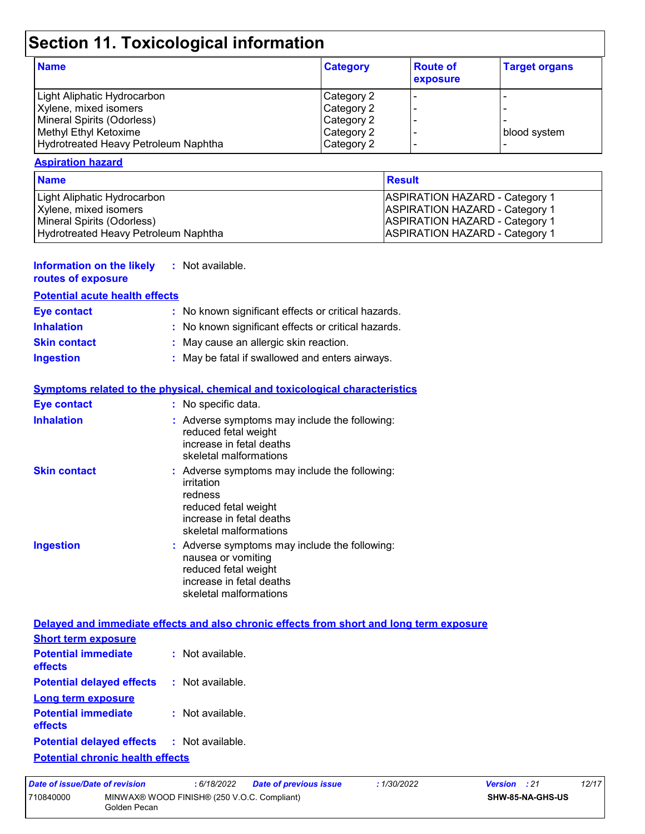# **Section 11. Toxicological information**

| <b>Name</b>                          | <b>Category</b> | <b>Route of</b><br>exposure | <b>Target organs</b> |
|--------------------------------------|-----------------|-----------------------------|----------------------|
| Light Aliphatic Hydrocarbon          | Category 2      |                             |                      |
| Xylene, mixed isomers                | Category 2      |                             |                      |
| Mineral Spirits (Odorless)           | Category 2      |                             |                      |
| Methyl Ethyl Ketoxime                | Category 2      |                             | blood system         |
| Hydrotreated Heavy Petroleum Naphtha | Category 2      |                             |                      |

#### **Aspiration hazard**

| <b>Name</b>                          | Result                                |
|--------------------------------------|---------------------------------------|
| Light Aliphatic Hydrocarbon          | <b>ASPIRATION HAZARD - Category 1</b> |
| Xylene, mixed isomers                | <b>ASPIRATION HAZARD - Category 1</b> |
| Mineral Spirits (Odorless)           | <b>ASPIRATION HAZARD - Category 1</b> |
| Hydrotreated Heavy Petroleum Naphtha | <b>ASPIRATION HAZARD - Category 1</b> |

#### **Information on the likely :** Not available.

#### **routes of exposure**

| <b>Potential acute health effects</b> |                                                     |
|---------------------------------------|-----------------------------------------------------|
| <b>Eye contact</b>                    | : No known significant effects or critical hazards. |
| <b>Inhalation</b>                     | : No known significant effects or critical hazards. |
| <b>Skin contact</b>                   | : May cause an allergic skin reaction.              |
| <b>Ingestion</b>                      | : May be fatal if swallowed and enters airways.     |

#### **Symptoms related to the physical, chemical and toxicological characteristics**

| <b>Eye contact</b>  | : No specific data.                                                                                                                                  |
|---------------------|------------------------------------------------------------------------------------------------------------------------------------------------------|
| <b>Inhalation</b>   | : Adverse symptoms may include the following:<br>reduced fetal weight<br>increase in fetal deaths<br>skeletal malformations                          |
| <b>Skin contact</b> | : Adverse symptoms may include the following:<br>irritation<br>redness<br>reduced fetal weight<br>increase in fetal deaths<br>skeletal malformations |
| <b>Ingestion</b>    | : Adverse symptoms may include the following:<br>nausea or vomiting<br>reduced fetal weight<br>increase in fetal deaths<br>skeletal malformations    |

#### **Delayed and immediate effects and also chronic effects from short and long term exposure**

| <b>Short term exposure</b>                        |                    |
|---------------------------------------------------|--------------------|
| <b>Potential immediate</b><br>effects             | $:$ Not available. |
| <b>Potential delayed effects : Not available.</b> |                    |
| <b>Long term exposure</b>                         |                    |
| <b>Potential immediate</b><br>effects             | $:$ Not available. |
| <b>Potential delayed effects : Not available.</b> |                    |
| Protocottal absolute brandth officiate            |                    |

| <b>Potential chronic health effects</b> |
|-----------------------------------------|
|-----------------------------------------|

| Date of issue/Date of revision |                                                             | : 6/18/2022 | <b>Date of previous issue</b> | : 1/30/2022      | <b>Version</b> : 21 | 12/17 |
|--------------------------------|-------------------------------------------------------------|-------------|-------------------------------|------------------|---------------------|-------|
| 710840000                      | MINWAX® WOOD FINISH® (250 V.O.C. Compliant)<br>Golden Pecan |             |                               | SHW-85-NA-GHS-US |                     |       |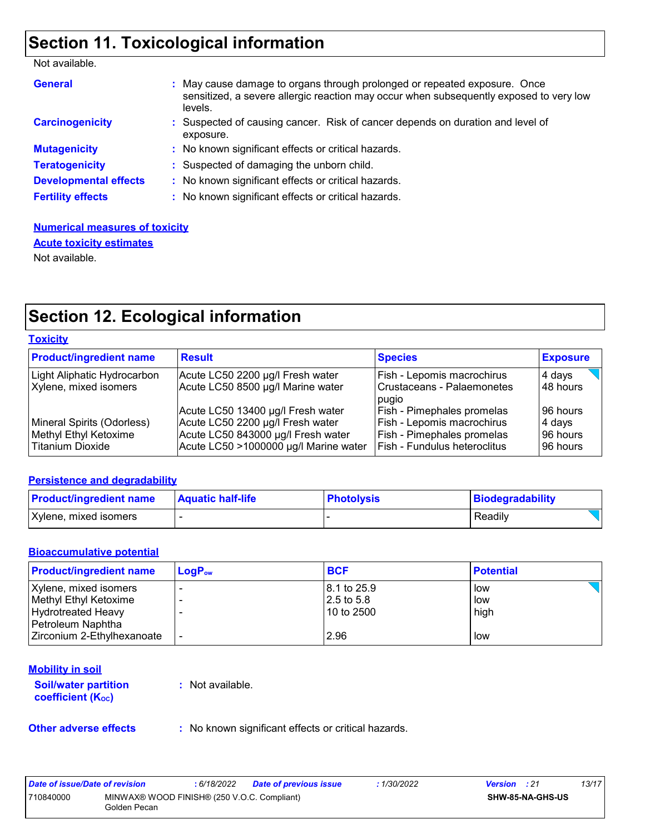### **Section 11. Toxicological information**

Not available.

| <b>General</b>               | : May cause damage to organs through prolonged or repeated exposure. Once<br>sensitized, a severe allergic reaction may occur when subsequently exposed to very low<br>levels. |
|------------------------------|--------------------------------------------------------------------------------------------------------------------------------------------------------------------------------|
| <b>Carcinogenicity</b>       | : Suspected of causing cancer. Risk of cancer depends on duration and level of<br>exposure.                                                                                    |
| <b>Mutagenicity</b>          | : No known significant effects or critical hazards.                                                                                                                            |
| <b>Teratogenicity</b>        | : Suspected of damaging the unborn child.                                                                                                                                      |
| <b>Developmental effects</b> | : No known significant effects or critical hazards.                                                                                                                            |
| <b>Fertility effects</b>     | : No known significant effects or critical hazards.                                                                                                                            |

#### **Numerical measures of toxicity** Not available. **Acute toxicity estimates**

### **Section 12. Ecological information**

#### **Toxicity**

| <b>Product/ingredient name</b>                                          | <b>Result</b>                                                                                                                                        | <b>Species</b>                                                                                                         | <b>Exposure</b>                             |
|-------------------------------------------------------------------------|------------------------------------------------------------------------------------------------------------------------------------------------------|------------------------------------------------------------------------------------------------------------------------|---------------------------------------------|
| Light Aliphatic Hydrocarbon<br>Xylene, mixed isomers                    | Acute LC50 2200 µg/l Fresh water<br>Acute LC50 8500 µg/l Marine water                                                                                | Fish - Lepomis macrochirus<br>Crustaceans - Palaemonetes<br>pugio                                                      | 4 days<br>48 hours                          |
| Mineral Spirits (Odorless)<br>Methyl Ethyl Ketoxime<br>Titanium Dioxide | Acute LC50 13400 µg/l Fresh water<br>Acute LC50 2200 µg/l Fresh water<br>Acute LC50 843000 µg/l Fresh water<br>Acute LC50 >1000000 µg/l Marine water | Fish - Pimephales promelas<br>Fish - Lepomis macrochirus<br>Fish - Pimephales promelas<br>Fish - Fundulus heteroclitus | 196 hours<br>4 days<br>96 hours<br>96 hours |

#### **Persistence and degradability**

| <b>Product/ingredient name</b> | <b>Aquatic half-life</b> | <b>Photolysis</b> | Biodegradability |
|--------------------------------|--------------------------|-------------------|------------------|
| Xylene, mixed isomers          |                          |                   | Readily          |

#### **Bioaccumulative potential**

| <b>Product/ingredient name</b> | $Loa Pow$ | <b>BCF</b>              | <b>Potential</b> |
|--------------------------------|-----------|-------------------------|------------------|
| Xylene, mixed isomers          |           | $ 8.1 \text{ to } 25.9$ | low              |
| Methyl Ethyl Ketoxime          |           | $12.5$ to 5.8           | low              |
| Hydrotreated Heavy             |           | 10 to 2500              | high             |
| Petroleum Naphtha              |           |                         |                  |
| Zirconium 2-Ethylhexanoate     |           | 2.96                    | low              |

#### **Mobility in soil**

**Soil/water partition coefficient (K**<sub>oc</sub>)

**:** Not available.

**Other adverse effects** : No known significant effects or critical hazards.

| Date of issue/Date of revision |                                                             | : 6/18/2022 | <b>Date of previous issue</b> | 1/30/2022 | <b>Version</b> : 21 |                         | 13/17 |
|--------------------------------|-------------------------------------------------------------|-------------|-------------------------------|-----------|---------------------|-------------------------|-------|
| 710840000                      | MINWAX® WOOD FINISH® (250 V.O.C. Compliant)<br>Golden Pecan |             |                               |           |                     | <b>SHW-85-NA-GHS-US</b> |       |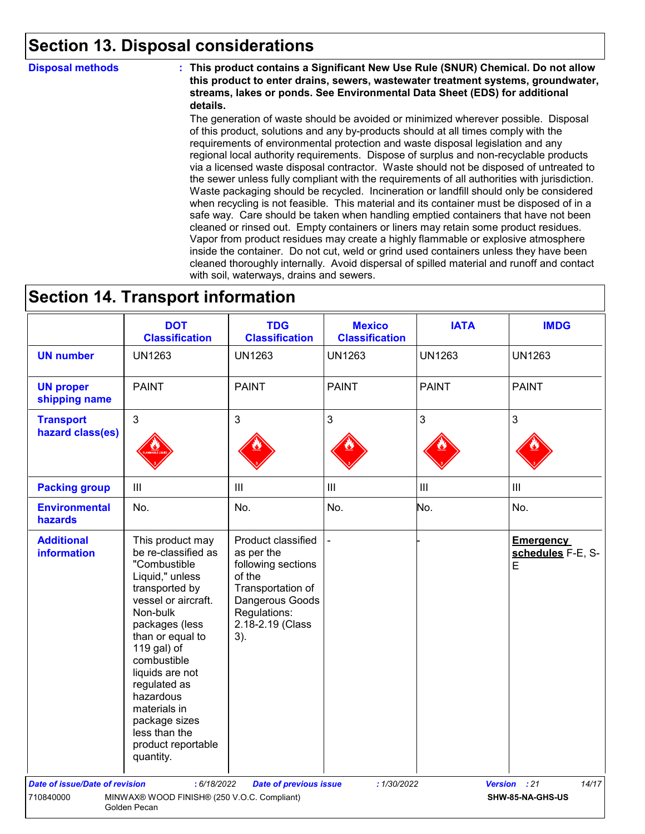### **Section 13. Disposal considerations**

**Disposal methods : This product contains a Significant New Use Rule (SNUR) Chemical. Do not allow this product to enter drains, sewers, wastewater treatment systems, groundwater, streams, lakes or ponds. See Environmental Data Sheet (EDS) for additional details.**

> The generation of waste should be avoided or minimized wherever possible. Disposal of this product, solutions and any by-products should at all times comply with the requirements of environmental protection and waste disposal legislation and any regional local authority requirements. Dispose of surplus and non-recyclable products via a licensed waste disposal contractor. Waste should not be disposed of untreated to the sewer unless fully compliant with the requirements of all authorities with jurisdiction. Waste packaging should be recycled. Incineration or landfill should only be considered when recycling is not feasible. This material and its container must be disposed of in a safe way. Care should be taken when handling emptied containers that have not been cleaned or rinsed out. Empty containers or liners may retain some product residues. Vapor from product residues may create a highly flammable or explosive atmosphere inside the container. Do not cut, weld or grind used containers unless they have been cleaned thoroughly internally. Avoid dispersal of spilled material and runoff and contact with soil, waterways, drains and sewers.

### **Section 14. Transport information**

|                                         | <b>DOT</b><br><b>Classification</b>                                                                                                                                                                                                                                                                                                      | <b>TDG</b><br><b>Classification</b>                                                                                                                 | <b>Mexico</b><br><b>Classification</b> | <b>IATA</b>    | <b>IMDG</b>                                |
|-----------------------------------------|------------------------------------------------------------------------------------------------------------------------------------------------------------------------------------------------------------------------------------------------------------------------------------------------------------------------------------------|-----------------------------------------------------------------------------------------------------------------------------------------------------|----------------------------------------|----------------|--------------------------------------------|
| <b>UN number</b>                        | <b>UN1263</b>                                                                                                                                                                                                                                                                                                                            | <b>UN1263</b>                                                                                                                                       | <b>UN1263</b>                          | <b>UN1263</b>  | <b>UN1263</b>                              |
| <b>UN proper</b><br>shipping name       | <b>PAINT</b>                                                                                                                                                                                                                                                                                                                             | <b>PAINT</b>                                                                                                                                        | <b>PAINT</b>                           | <b>PAINT</b>   | <b>PAINT</b>                               |
| <b>Transport</b><br>hazard class(es)    | $\mathfrak{S}$                                                                                                                                                                                                                                                                                                                           | 3                                                                                                                                                   | $\mathfrak{S}$                         | 3              | $\mathbf{3}$                               |
| <b>Packing group</b>                    | $\mathop{\rm III}$                                                                                                                                                                                                                                                                                                                       | $\mathbf{III}$                                                                                                                                      | $\ensuremath{\mathsf{III}}\xspace$     | $\mathbf{III}$ | $\ensuremath{\mathsf{III}}\xspace$         |
| <b>Environmental</b><br>hazards         | No.                                                                                                                                                                                                                                                                                                                                      | No.                                                                                                                                                 | No.                                    | No.            | No.                                        |
| <b>Additional</b><br><b>information</b> | This product may<br>be re-classified as<br>"Combustible<br>Liquid," unless<br>transported by<br>vessel or aircraft.<br>Non-bulk<br>packages (less<br>than or equal to<br>119 gal) of<br>combustible<br>liquids are not<br>regulated as<br>hazardous<br>materials in<br>package sizes<br>less than the<br>product reportable<br>quantity. | Product classified<br>as per the<br>following sections<br>of the<br>Transportation of<br>Dangerous Goods<br>Regulations:<br>2.18-2.19 (Class<br>3). |                                        |                | <b>Emergency</b><br>schedules F-E, S-<br>E |
| <b>Date of issue/Date of revision</b>   | : 6/18/2022                                                                                                                                                                                                                                                                                                                              | <b>Date of previous issue</b>                                                                                                                       | :1/30/2022                             |                | Version : 21<br>14/17                      |
| 710840000                               | MINWAX® WOOD FINISH® (250 V.O.C. Compliant)<br>Golden Pecan                                                                                                                                                                                                                                                                              |                                                                                                                                                     |                                        |                | SHW-85-NA-GHS-US                           |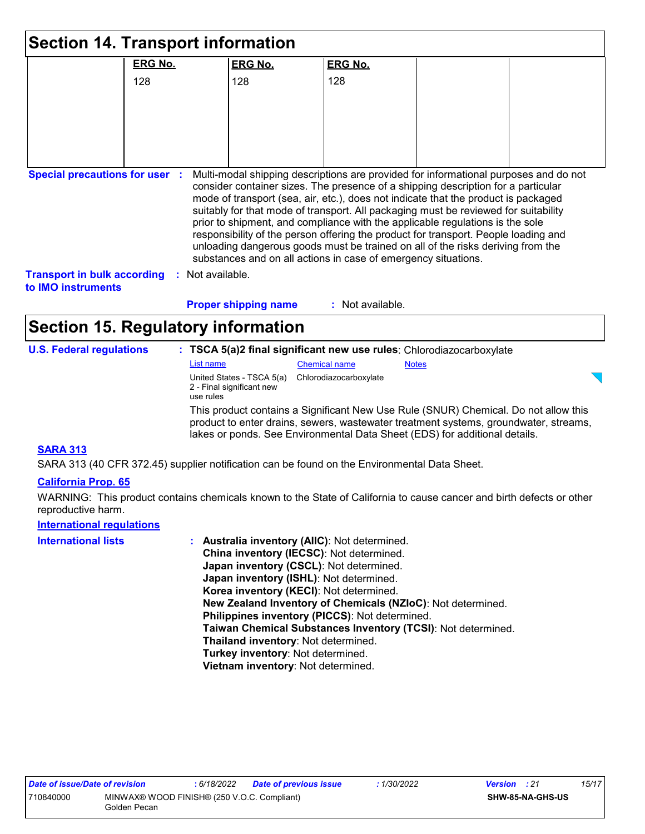| <b>Section 14. Transport information</b>                 |                  |                                                        |                                                                                                                                                                     |              |                                                                                                                                                                                                                                                                                                                                                     |
|----------------------------------------------------------|------------------|--------------------------------------------------------|---------------------------------------------------------------------------------------------------------------------------------------------------------------------|--------------|-----------------------------------------------------------------------------------------------------------------------------------------------------------------------------------------------------------------------------------------------------------------------------------------------------------------------------------------------------|
|                                                          | <b>ERG No.</b>   | <b>ERG No.</b>                                         | <b>ERG No.</b>                                                                                                                                                      |              |                                                                                                                                                                                                                                                                                                                                                     |
|                                                          | 128              | 128                                                    | 128                                                                                                                                                                 |              |                                                                                                                                                                                                                                                                                                                                                     |
|                                                          |                  |                                                        |                                                                                                                                                                     |              |                                                                                                                                                                                                                                                                                                                                                     |
|                                                          |                  |                                                        |                                                                                                                                                                     |              |                                                                                                                                                                                                                                                                                                                                                     |
|                                                          |                  |                                                        |                                                                                                                                                                     |              |                                                                                                                                                                                                                                                                                                                                                     |
|                                                          |                  |                                                        |                                                                                                                                                                     |              |                                                                                                                                                                                                                                                                                                                                                     |
| <b>Transport in bulk according</b><br>to IMO instruments | : Not available. | <b>Proper shipping name</b>                            | prior to shipment, and compliance with the applicable regulations is the sole<br>substances and on all actions in case of emergency situations.<br>: Not available. |              | mode of transport (sea, air, etc.), does not indicate that the product is packaged<br>suitably for that mode of transport. All packaging must be reviewed for suitability<br>responsibility of the person offering the product for transport. People loading and<br>unloading dangerous goods must be trained on all of the risks deriving from the |
| <b>Section 15. Regulatory information</b>                |                  |                                                        |                                                                                                                                                                     |              |                                                                                                                                                                                                                                                                                                                                                     |
| <b>U.S. Federal regulations</b>                          |                  |                                                        | : TSCA 5(a)2 final significant new use rules: Chlorodiazocarboxylate                                                                                                |              |                                                                                                                                                                                                                                                                                                                                                     |
|                                                          | List name        |                                                        | <b>Chemical name</b>                                                                                                                                                | <b>Notes</b> |                                                                                                                                                                                                                                                                                                                                                     |
|                                                          | use rules        | United States - TSCA 5(a)<br>2 - Final significant new | Chlorodiazocarboxylate                                                                                                                                              |              |                                                                                                                                                                                                                                                                                                                                                     |
|                                                          |                  |                                                        | lakes or ponds. See Environmental Data Sheet (EDS) for additional details.                                                                                          |              | This product contains a Significant New Use Rule (SNUR) Chemical. Do not allow this<br>product to enter drains, sewers, wastewater treatment systems, groundwater, streams,                                                                                                                                                                         |
| <b>SARA 313</b>                                          |                  |                                                        |                                                                                                                                                                     |              |                                                                                                                                                                                                                                                                                                                                                     |

SARA 313 (40 CFR 372.45) supplier notification can be found on the Environmental Data Sheet.

#### **California Prop. 65**

WARNING: This product contains chemicals known to the State of California to cause cancer and birth defects or other reproductive harm.

### **International regulations**

| <b>International lists</b> | : Australia inventory (AIIC): Not determined.                |
|----------------------------|--------------------------------------------------------------|
|                            | China inventory (IECSC): Not determined.                     |
|                            | Japan inventory (CSCL): Not determined.                      |
|                            | Japan inventory (ISHL): Not determined.                      |
|                            | Korea inventory (KECI): Not determined.                      |
|                            | New Zealand Inventory of Chemicals (NZIoC): Not determined.  |
|                            | Philippines inventory (PICCS): Not determined.               |
|                            | Taiwan Chemical Substances Inventory (TCSI): Not determined. |
|                            | Thailand inventory: Not determined.                          |
|                            | Turkey inventory: Not determined.                            |
|                            | Vietnam inventory: Not determined.                           |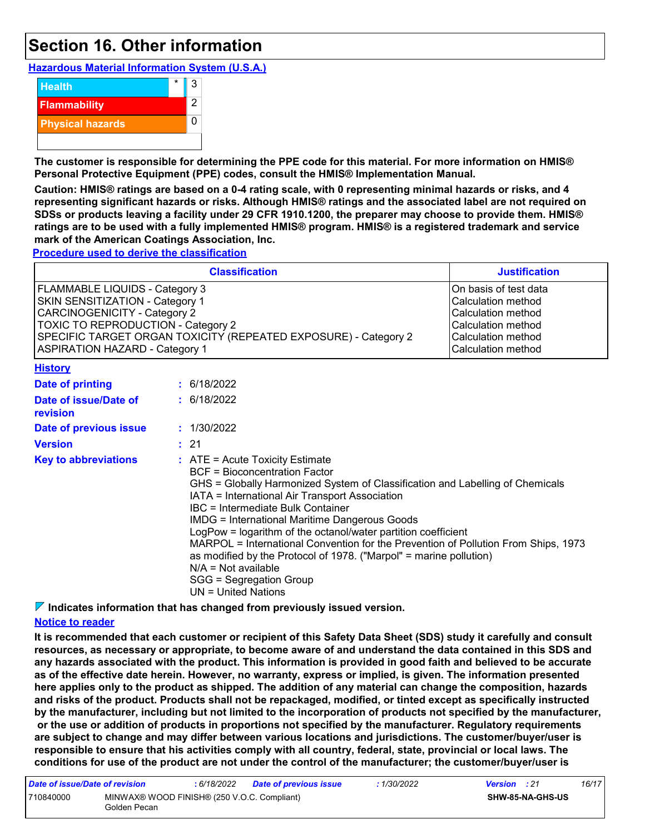### **Section 16. Other information**

**Hazardous Material Information System (U.S.A.)**



**The customer is responsible for determining the PPE code for this material. For more information on HMIS® Personal Protective Equipment (PPE) codes, consult the HMIS® Implementation Manual.**

**Caution: HMIS® ratings are based on a 0-4 rating scale, with 0 representing minimal hazards or risks, and 4 representing significant hazards or risks. Although HMIS® ratings and the associated label are not required on SDSs or products leaving a facility under 29 CFR 1910.1200, the preparer may choose to provide them. HMIS® ratings are to be used with a fully implemented HMIS® program. HMIS® is a registered trademark and service mark of the American Coatings Association, Inc.**

**Procedure used to derive the classification**

|                                                                                                                                                                                                                                                                   | <b>Justification</b> |                                                                                                                                                                                                                                                                                                                                                                                                                                                                                                                                                                                                                     |                                                                                                                                     |
|-------------------------------------------------------------------------------------------------------------------------------------------------------------------------------------------------------------------------------------------------------------------|----------------------|---------------------------------------------------------------------------------------------------------------------------------------------------------------------------------------------------------------------------------------------------------------------------------------------------------------------------------------------------------------------------------------------------------------------------------------------------------------------------------------------------------------------------------------------------------------------------------------------------------------------|-------------------------------------------------------------------------------------------------------------------------------------|
| FLAMMABLE LIQUIDS - Category 3<br>SKIN SENSITIZATION - Category 1<br><b>CARCINOGENICITY - Category 2</b><br><b>TOXIC TO REPRODUCTION - Category 2</b><br>SPECIFIC TARGET ORGAN TOXICITY (REPEATED EXPOSURE) - Category 2<br><b>ASPIRATION HAZARD - Category 1</b> |                      |                                                                                                                                                                                                                                                                                                                                                                                                                                                                                                                                                                                                                     | On basis of test data<br>Calculation method<br>Calculation method<br>Calculation method<br>Calculation method<br>Calculation method |
| <b>History</b>                                                                                                                                                                                                                                                    |                      |                                                                                                                                                                                                                                                                                                                                                                                                                                                                                                                                                                                                                     |                                                                                                                                     |
| <b>Date of printing</b>                                                                                                                                                                                                                                           |                      | : 6/18/2022                                                                                                                                                                                                                                                                                                                                                                                                                                                                                                                                                                                                         |                                                                                                                                     |
| Date of issue/Date of<br>revision                                                                                                                                                                                                                                 |                      | : 6/18/2022                                                                                                                                                                                                                                                                                                                                                                                                                                                                                                                                                                                                         |                                                                                                                                     |
| Date of previous issue                                                                                                                                                                                                                                            |                      | : 1/30/2022                                                                                                                                                                                                                                                                                                                                                                                                                                                                                                                                                                                                         |                                                                                                                                     |
| <b>Version</b>                                                                                                                                                                                                                                                    |                      | : 21                                                                                                                                                                                                                                                                                                                                                                                                                                                                                                                                                                                                                |                                                                                                                                     |
| <b>Key to abbreviations</b>                                                                                                                                                                                                                                       |                      | $:$ ATE = Acute Toxicity Estimate<br><b>BCF</b> = Bioconcentration Factor<br>GHS = Globally Harmonized System of Classification and Labelling of Chemicals<br>IATA = International Air Transport Association<br>IBC = Intermediate Bulk Container<br><b>IMDG = International Maritime Dangerous Goods</b><br>LogPow = logarithm of the octanol/water partition coefficient<br>MARPOL = International Convention for the Prevention of Pollution From Ships, 1973<br>as modified by the Protocol of 1978. ("Marpol" = marine pollution)<br>$N/A = Not available$<br>SGG = Segregation Group<br>$UN = United Nations$ |                                                                                                                                     |

**Indicates information that has changed from previously issued version.**

#### **Notice to reader**

**It is recommended that each customer or recipient of this Safety Data Sheet (SDS) study it carefully and consult resources, as necessary or appropriate, to become aware of and understand the data contained in this SDS and any hazards associated with the product. This information is provided in good faith and believed to be accurate as of the effective date herein. However, no warranty, express or implied, is given. The information presented here applies only to the product as shipped. The addition of any material can change the composition, hazards and risks of the product. Products shall not be repackaged, modified, or tinted except as specifically instructed by the manufacturer, including but not limited to the incorporation of products not specified by the manufacturer, or the use or addition of products in proportions not specified by the manufacturer. Regulatory requirements are subject to change and may differ between various locations and jurisdictions. The customer/buyer/user is responsible to ensure that his activities comply with all country, federal, state, provincial or local laws. The conditions for use of the product are not under the control of the manufacturer; the customer/buyer/user is** 

| Date of issue/Date of revision |                                                             | : 6/18/2022 | <b>Date of previous issue</b> | : 1/30/2022 | <b>Version</b> : 21 |                         | 16/17 |
|--------------------------------|-------------------------------------------------------------|-------------|-------------------------------|-------------|---------------------|-------------------------|-------|
| 710840000                      | MINWAX® WOOD FINISH® (250 V.O.C. Compliant)<br>Golden Pecan |             |                               |             |                     | <b>SHW-85-NA-GHS-US</b> |       |